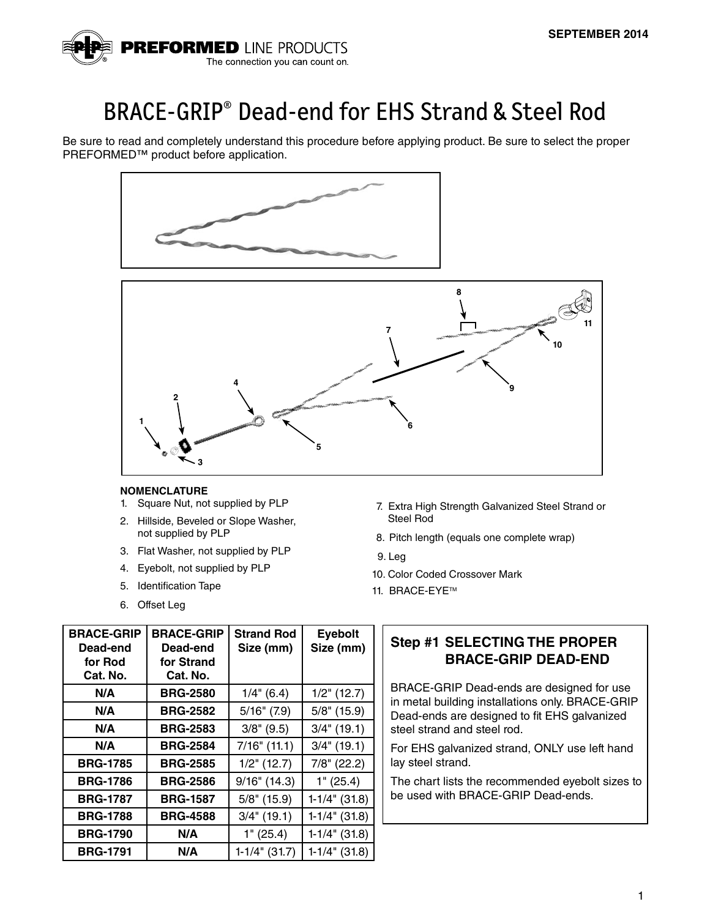

# BRACE-GRIP® Dead-end for EHS Strand & Steel Rod

Be sure to read and completely understand this procedure before applying product. Be sure to select the proper PREFORMED™ product before application.





#### **NOMENCLATURE**

- 1. Square Nut, not supplied by PLP
- 2. Hillside, Beveled or Slope Washer, not supplied by PLP
- 3. Flat Washer, not supplied by PLP
- 4. Eyebolt, not supplied by PLP
- 5. Identification Tape
- 6. Offset Leg
- 7. Extra High Strength Galvanized Steel Strand or Steel Rod
- 8. Pitch length (equals one complete wrap)
- 9. Leg
- 10. Color Coded Crossover Mark
- 11. BRACE-EYE™

| <b>BRACE-GRIP</b><br>Dead-end | <b>BRACE-GRIP</b><br>Dead-end | <b>Strand Rod</b><br>Size (mm) | <b>Eyebolt</b><br>Size (mm) |
|-------------------------------|-------------------------------|--------------------------------|-----------------------------|
| for Rod                       | for Strand                    |                                |                             |
| Cat. No.                      | Cat. No.                      |                                |                             |
| N/A                           | <b>BRG-2580</b>               | $1/4$ " (6.4)                  | $1/2$ " (12.7)              |
| N/A                           | <b>BRG-2582</b>               | $5/16$ " $(7.9)$               | $5/8$ " (15.9)              |
| N/A                           | <b>BRG-2583</b>               | $3/8$ " (9.5)                  | $3/4$ " (19.1)              |
| N/A                           | <b>BRG-2584</b>               | $7/16$ " (11.1)                | $3/4$ " (19.1)              |
| <b>BRG-1785</b>               | <b>BRG-2585</b>               | $1/2$ " (12.7)                 | $7/8$ " (22.2)              |
| <b>BRG-1786</b>               | <b>BRG-2586</b>               | $9/16$ " (14.3)                | 1" (25.4)                   |
| <b>BRG-1787</b>               | <b>BRG-1587</b>               | $5/8$ " (15.9)                 | $1-1/4$ " (31.8)            |
| <b>BRG-1788</b>               | <b>BRG-4588</b>               | $3/4$ " (19.1)                 | $1-1/4$ " (31.8)            |
| <b>BRG-1790</b>               | N/A                           | 1" (25.4)                      | $1-1/4$ " (31.8)            |
| <b>BRG-1791</b>               | N/A                           | $1-1/4$ " (31.7)               | $1-1/4$ " (31.8)            |

# **Step #1 SELECTING THE PROPER BRACE-GRIP DEAD-END**

BRACE-GRIP Dead-ends are designed for use in metal building installations only. BRACE-GRIP Dead-ends are designed to fit EHS galvanized steel strand and steel rod.

For EHS galvanized strand, ONLY use left hand lay steel strand.

The chart lists the recommended eyebolt sizes to be used with BRACE-GRIP Dead-ends.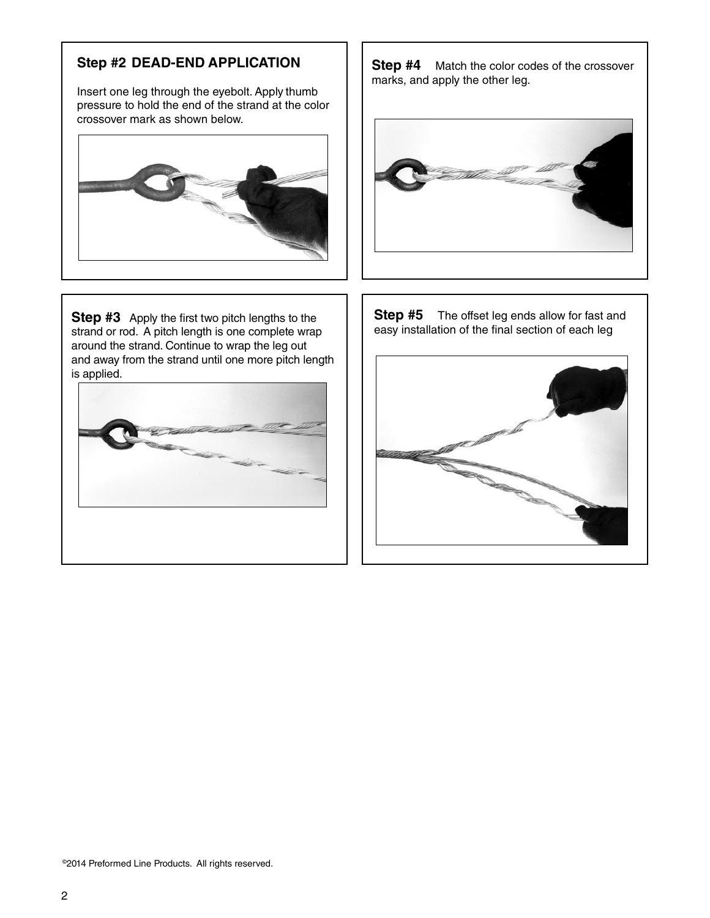# **Step #2 DEAD-END APPLICATION**

Insert one leg through the eyebolt. Apply thumb pressure to hold the end of the strand at the color crossover mark as shown below.



**Step #3** Apply the first two pitch lengths to the strand or rod. A pitch length is one complete wrap around the strand. Continue to wrap the leg out and away from the strand until one more pitch length is applied.



**Step #4** Match the color codes of the crossover marks, and apply the other leg.



**Step #5** The offset leg ends allow for fast and easy installation of the final section of each leg

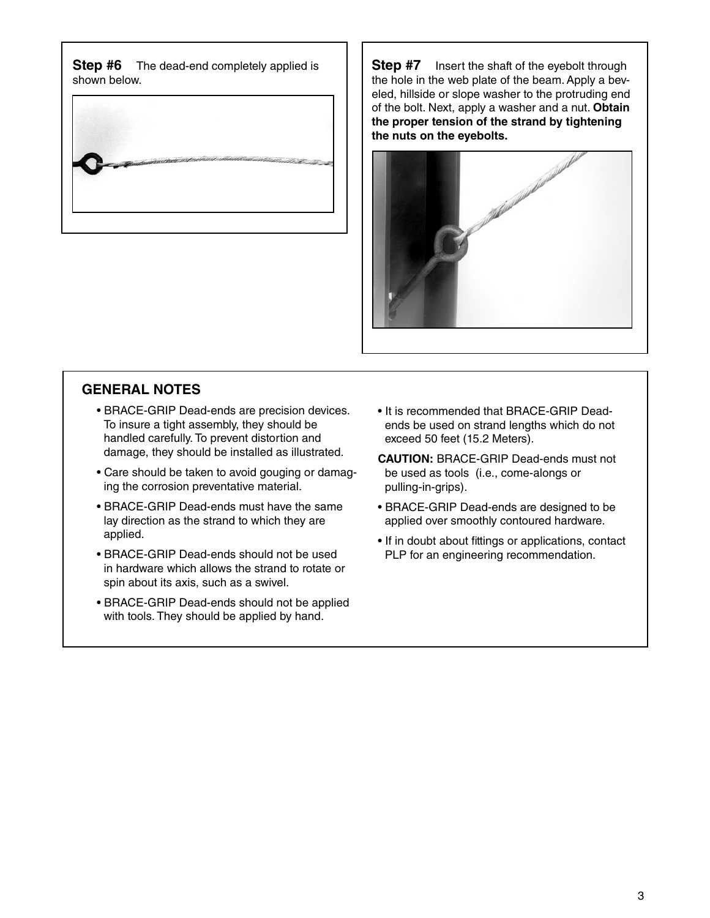**Step #6** The dead-end completely applied is shown below.



**Step #7** Insert the shaft of the eyebolt through the hole in the web plate of the beam. Apply a beveled, hillside or slope washer to the protruding end of the bolt. Next, apply a washer and a nut. **Obtain the proper tension of the strand by tightening the nuts on the eyebolts.**



### **GENERAL NOTES**

- BRACE-GRIP Dead-ends are precision devices. To insure a tight assembly, they should be handled carefully. To prevent distortion and damage, they should be installed as illustrated.
- Care should be taken to avoid gouging or damaging the corrosion preventative material.
- BRACE-GRIP Dead-ends must have the same lay direction as the strand to which they are applied.
- BRACE-GRIP Dead-ends should not be used in hardware which allows the strand to rotate or spin about its axis, such as a swivel.
- BRACE-GRIP Dead-ends should not be applied with tools. They should be applied by hand.
- It is recommended that BRACE-GRIP Deadends be used on strand lengths which do not exceed 50 feet (15.2 Meters).
- **CAUTION:** BRACE-GRIP Dead-ends must not be used as tools (i.e., come-alongs or pulling-in-grips).
- BRACE-GRIP Dead-ends are designed to be applied over smoothly contoured hardware.
- If in doubt about fittings or applications, contact PLP for an engineering recommendation.